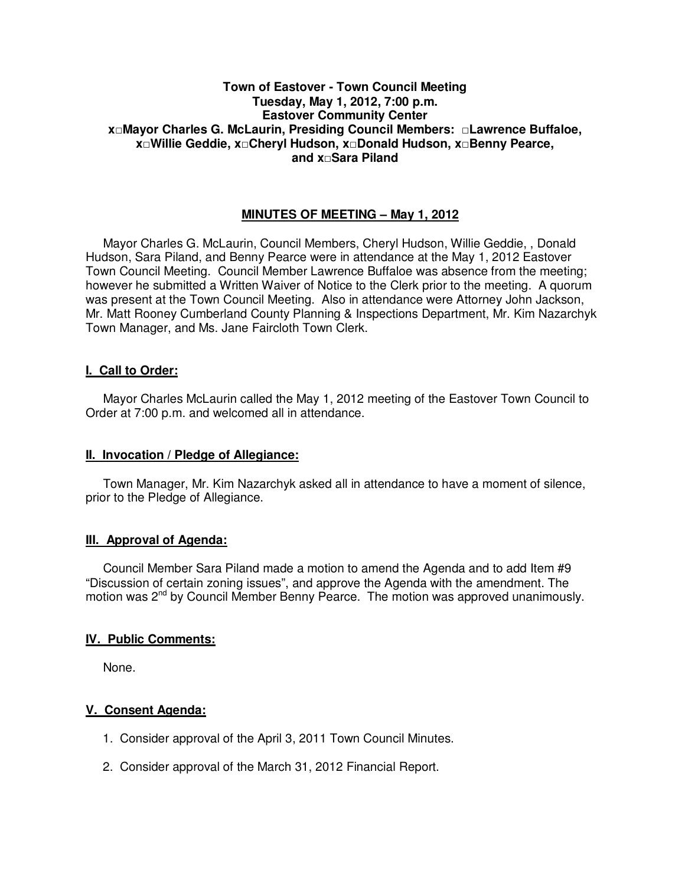# **Town of Eastover - Town Council Meeting Tuesday, May 1, 2012, 7:00 p.m. Eastover Community Center x□Mayor Charles G. McLaurin, Presiding Council Members: □Lawrence Buffaloe, x□Willie Geddie, x□Cheryl Hudson, x□Donald Hudson, x□Benny Pearce, and x□Sara Piland**

# **MINUTES OF MEETING – May 1, 2012**

Mayor Charles G. McLaurin, Council Members, Cheryl Hudson, Willie Geddie, , Donald Hudson, Sara Piland, and Benny Pearce were in attendance at the May 1, 2012 Eastover Town Council Meeting. Council Member Lawrence Buffaloe was absence from the meeting; however he submitted a Written Waiver of Notice to the Clerk prior to the meeting. A quorum was present at the Town Council Meeting. Also in attendance were Attorney John Jackson, Mr. Matt Rooney Cumberland County Planning & Inspections Department, Mr. Kim Nazarchyk Town Manager, and Ms. Jane Faircloth Town Clerk.

## **I. Call to Order:**

Mayor Charles McLaurin called the May 1, 2012 meeting of the Eastover Town Council to Order at 7:00 p.m. and welcomed all in attendance.

## **II. Invocation / Pledge of Allegiance:**

 Town Manager, Mr. Kim Nazarchyk asked all in attendance to have a moment of silence, prior to the Pledge of Allegiance.

## **III. Approval of Agenda:**

 Council Member Sara Piland made a motion to amend the Agenda and to add Item #9 "Discussion of certain zoning issues", and approve the Agenda with the amendment. The motion was 2<sup>nd</sup> by Council Member Benny Pearce. The motion was approved unanimously.

## **IV. Public Comments:**

None.

## **V. Consent Agenda:**

- 1. Consider approval of the April 3, 2011 Town Council Minutes.
- 2. Consider approval of the March 31, 2012 Financial Report.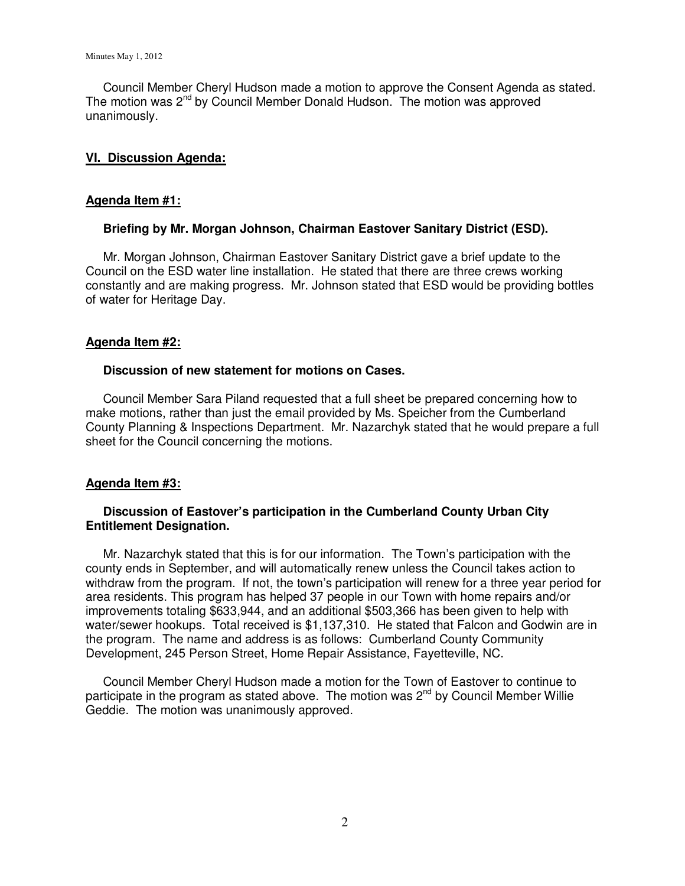Council Member Cheryl Hudson made a motion to approve the Consent Agenda as stated. The motion was 2<sup>nd</sup> by Council Member Donald Hudson. The motion was approved unanimously.

### **VI. Discussion Agenda:**

### **Agenda Item #1:**

### **Briefing by Mr. Morgan Johnson, Chairman Eastover Sanitary District (ESD).**

Mr. Morgan Johnson, Chairman Eastover Sanitary District gave a brief update to the Council on the ESD water line installation. He stated that there are three crews working constantly and are making progress. Mr. Johnson stated that ESD would be providing bottles of water for Heritage Day.

### **Agenda Item #2:**

### **Discussion of new statement for motions on Cases.**

 Council Member Sara Piland requested that a full sheet be prepared concerning how to make motions, rather than just the email provided by Ms. Speicher from the Cumberland County Planning & Inspections Department. Mr. Nazarchyk stated that he would prepare a full sheet for the Council concerning the motions.

## **Agenda Item #3:**

## **Discussion of Eastover's participation in the Cumberland County Urban City Entitlement Designation.**

 Mr. Nazarchyk stated that this is for our information. The Town's participation with the county ends in September, and will automatically renew unless the Council takes action to withdraw from the program. If not, the town's participation will renew for a three year period for area residents. This program has helped 37 people in our Town with home repairs and/or improvements totaling \$633,944, and an additional \$503,366 has been given to help with water/sewer hookups. Total received is \$1,137,310. He stated that Falcon and Godwin are in the program. The name and address is as follows: Cumberland County Community Development, 245 Person Street, Home Repair Assistance, Fayetteville, NC.

 Council Member Cheryl Hudson made a motion for the Town of Eastover to continue to participate in the program as stated above. The motion was  $2^{nd}$  by Council Member Willie Geddie. The motion was unanimously approved.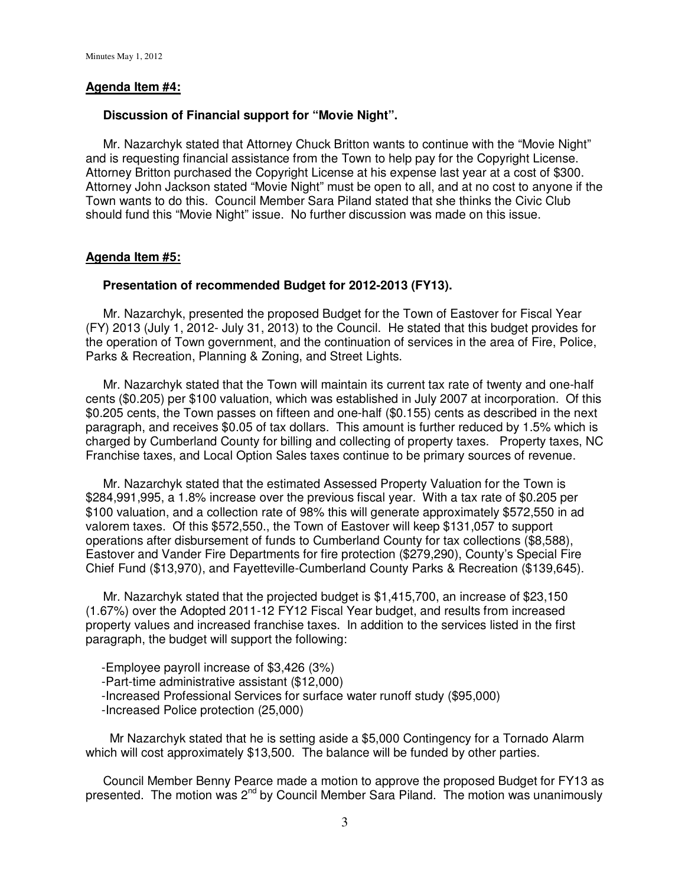### **Agenda Item #4:**

#### **Discussion of Financial support for "Movie Night".**

 Mr. Nazarchyk stated that Attorney Chuck Britton wants to continue with the "Movie Night" and is requesting financial assistance from the Town to help pay for the Copyright License. Attorney Britton purchased the Copyright License at his expense last year at a cost of \$300. Attorney John Jackson stated "Movie Night" must be open to all, and at no cost to anyone if the Town wants to do this. Council Member Sara Piland stated that she thinks the Civic Club should fund this "Movie Night" issue. No further discussion was made on this issue.

### **Agenda Item #5:**

### **Presentation of recommended Budget for 2012-2013 (FY13).**

 Mr. Nazarchyk, presented the proposed Budget for the Town of Eastover for Fiscal Year (FY) 2013 (July 1, 2012- July 31, 2013) to the Council. He stated that this budget provides for the operation of Town government, and the continuation of services in the area of Fire, Police, Parks & Recreation, Planning & Zoning, and Street Lights.

 Mr. Nazarchyk stated that the Town will maintain its current tax rate of twenty and one-half cents (\$0.205) per \$100 valuation, which was established in July 2007 at incorporation. Of this \$0.205 cents, the Town passes on fifteen and one-half (\$0.155) cents as described in the next paragraph, and receives \$0.05 of tax dollars. This amount is further reduced by 1.5% which is charged by Cumberland County for billing and collecting of property taxes. Property taxes, NC Franchise taxes, and Local Option Sales taxes continue to be primary sources of revenue.

 Mr. Nazarchyk stated that the estimated Assessed Property Valuation for the Town is \$284,991,995, a 1.8% increase over the previous fiscal year. With a tax rate of \$0.205 per \$100 valuation, and a collection rate of 98% this will generate approximately \$572,550 in ad valorem taxes. Of this \$572,550., the Town of Eastover will keep \$131,057 to support operations after disbursement of funds to Cumberland County for tax collections (\$8,588), Eastover and Vander Fire Departments for fire protection (\$279,290), County's Special Fire Chief Fund (\$13,970), and Fayetteville-Cumberland County Parks & Recreation (\$139,645).

 Mr. Nazarchyk stated that the projected budget is \$1,415,700, an increase of \$23,150 (1.67%) over the Adopted 2011-12 FY12 Fiscal Year budget, and results from increased property values and increased franchise taxes. In addition to the services listed in the first paragraph, the budget will support the following:

- Employee payroll increase of \$3,426 (3%)
- Part-time administrative assistant (\$12,000)
- Increased Professional Services for surface water runoff study (\$95,000)
- Increased Police protection (25,000)

 Mr Nazarchyk stated that he is setting aside a \$5,000 Contingency for a Tornado Alarm which will cost approximately \$13,500. The balance will be funded by other parties.

 Council Member Benny Pearce made a motion to approve the proposed Budget for FY13 as presented. The motion was 2<sup>nd</sup> by Council Member Sara Piland. The motion was unanimously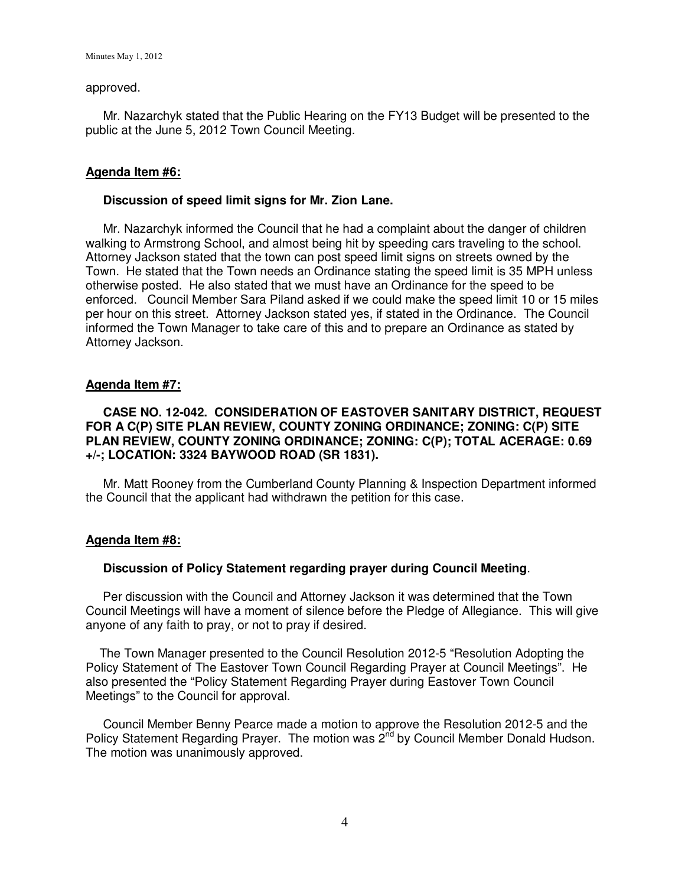#### approved.

 Mr. Nazarchyk stated that the Public Hearing on the FY13 Budget will be presented to the public at the June 5, 2012 Town Council Meeting.

# **Agenda Item #6:**

## **Discussion of speed limit signs for Mr. Zion Lane.**

Mr. Nazarchyk informed the Council that he had a complaint about the danger of children walking to Armstrong School, and almost being hit by speeding cars traveling to the school. Attorney Jackson stated that the town can post speed limit signs on streets owned by the Town. He stated that the Town needs an Ordinance stating the speed limit is 35 MPH unless otherwise posted. He also stated that we must have an Ordinance for the speed to be enforced. Council Member Sara Piland asked if we could make the speed limit 10 or 15 miles per hour on this street. Attorney Jackson stated yes, if stated in the Ordinance. The Council informed the Town Manager to take care of this and to prepare an Ordinance as stated by Attorney Jackson.

## **Agenda Item #7:**

# **CASE NO. 12-042. CONSIDERATION OF EASTOVER SANITARY DISTRICT, REQUEST FOR A C(P) SITE PLAN REVIEW, COUNTY ZONING ORDINANCE; ZONING: C(P) SITE PLAN REVIEW, COUNTY ZONING ORDINANCE; ZONING: C(P); TOTAL ACERAGE: 0.69 +/-; LOCATION: 3324 BAYWOOD ROAD (SR 1831).**

Mr. Matt Rooney from the Cumberland County Planning & Inspection Department informed the Council that the applicant had withdrawn the petition for this case.

## **Agenda Item #8:**

## **Discussion of Policy Statement regarding prayer during Council Meeting**.

 Per discussion with the Council and Attorney Jackson it was determined that the Town Council Meetings will have a moment of silence before the Pledge of Allegiance. This will give anyone of any faith to pray, or not to pray if desired.

 The Town Manager presented to the Council Resolution 2012-5 "Resolution Adopting the Policy Statement of The Eastover Town Council Regarding Prayer at Council Meetings". He also presented the "Policy Statement Regarding Prayer during Eastover Town Council Meetings" to the Council for approval.

 Council Member Benny Pearce made a motion to approve the Resolution 2012-5 and the Policy Statement Regarding Prayer. The motion was 2<sup>nd</sup> by Council Member Donald Hudson. The motion was unanimously approved.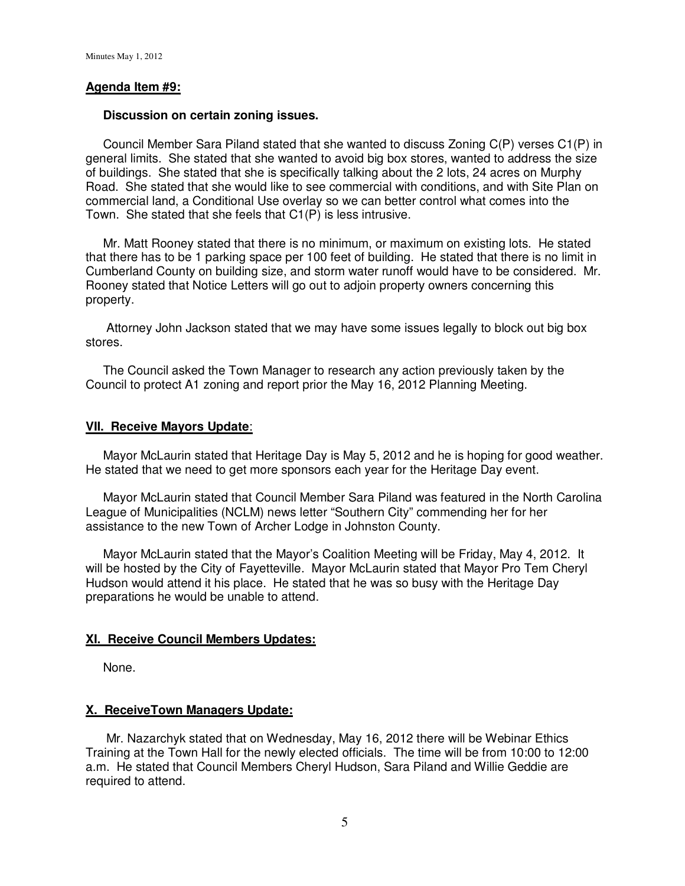### **Agenda Item #9:**

#### **Discussion on certain zoning issues.**

Council Member Sara Piland stated that she wanted to discuss Zoning C(P) verses C1(P) in general limits. She stated that she wanted to avoid big box stores, wanted to address the size of buildings. She stated that she is specifically talking about the 2 lots, 24 acres on Murphy Road. She stated that she would like to see commercial with conditions, and with Site Plan on commercial land, a Conditional Use overlay so we can better control what comes into the Town. She stated that she feels that C1(P) is less intrusive.

 Mr. Matt Rooney stated that there is no minimum, or maximum on existing lots. He stated that there has to be 1 parking space per 100 feet of building. He stated that there is no limit in Cumberland County on building size, and storm water runoff would have to be considered. Mr. Rooney stated that Notice Letters will go out to adjoin property owners concerning this property.

 Attorney John Jackson stated that we may have some issues legally to block out big box stores.

 The Council asked the Town Manager to research any action previously taken by the Council to protect A1 zoning and report prior the May 16, 2012 Planning Meeting.

#### **VII. Receive Mayors Update**:

 Mayor McLaurin stated that Heritage Day is May 5, 2012 and he is hoping for good weather. He stated that we need to get more sponsors each year for the Heritage Day event.

 Mayor McLaurin stated that Council Member Sara Piland was featured in the North Carolina League of Municipalities (NCLM) news letter "Southern City" commending her for her assistance to the new Town of Archer Lodge in Johnston County.

 Mayor McLaurin stated that the Mayor's Coalition Meeting will be Friday, May 4, 2012. It will be hosted by the City of Fayetteville. Mayor McLaurin stated that Mayor Pro Tem Cheryl Hudson would attend it his place. He stated that he was so busy with the Heritage Day preparations he would be unable to attend.

#### **XI. Receive Council Members Updates:**

None.

## **X. ReceiveTown Managers Update:**

 Mr. Nazarchyk stated that on Wednesday, May 16, 2012 there will be Webinar Ethics Training at the Town Hall for the newly elected officials. The time will be from 10:00 to 12:00 a.m. He stated that Council Members Cheryl Hudson, Sara Piland and Willie Geddie are required to attend.